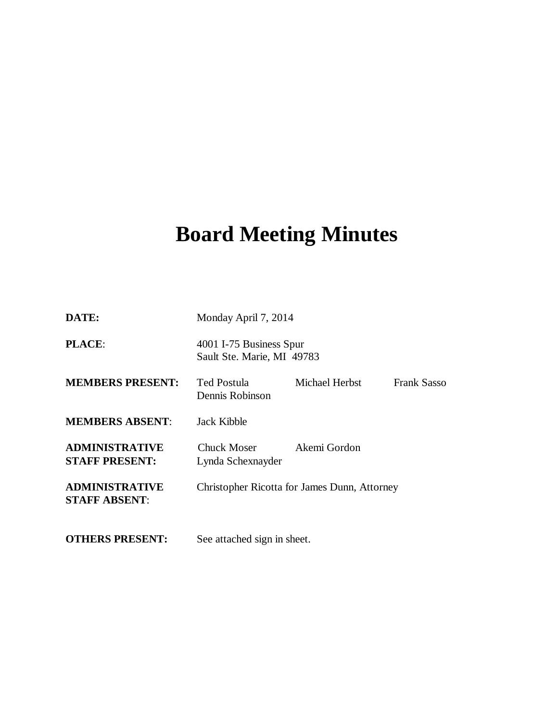# **Board Meeting Minutes**

| DATE:                                          | Monday April 7, 2014                                  |                |             |
|------------------------------------------------|-------------------------------------------------------|----------------|-------------|
| <b>PLACE:</b>                                  | 4001 I-75 Business Spur<br>Sault Ste. Marie, MI 49783 |                |             |
| <b>MEMBERS PRESENT:</b>                        | Ted Postula<br>Dennis Robinson                        | Michael Herbst | Frank Sasso |
| <b>MEMBERS ABSENT:</b>                         | Jack Kibble                                           |                |             |
| <b>ADMINISTRATIVE</b><br><b>STAFF PRESENT:</b> | <b>Chuck Moser</b><br>Lynda Schexnayder               | Akemi Gordon   |             |
| <b>ADMINISTRATIVE</b><br><b>STAFF ABSENT:</b>  | Christopher Ricotta for James Dunn, Attorney          |                |             |
| <b>OTHERS PRESENT:</b>                         | See attached sign in sheet.                           |                |             |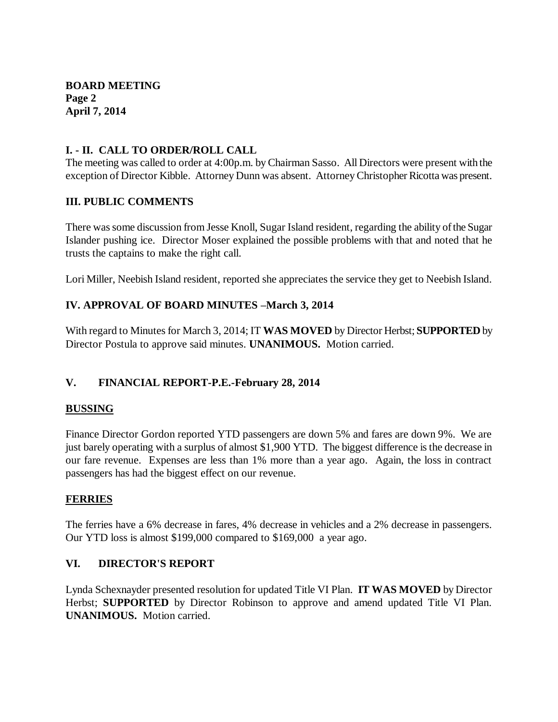#### **I. - II. CALL TO ORDER/ROLL CALL**

The meeting was called to order at 4:00p.m. by Chairman Sasso. All Directors were present with the exception of Director Kibble. Attorney Dunn was absent. Attorney Christopher Ricotta was present.

#### **III. PUBLIC COMMENTS**

There was some discussion from Jesse Knoll, Sugar Island resident, regarding the ability of the Sugar Islander pushing ice. Director Moser explained the possible problems with that and noted that he trusts the captains to make the right call.

Lori Miller, Neebish Island resident, reported she appreciates the service they get to Neebish Island.

# **IV. APPROVAL OF BOARD MINUTES –March 3, 2014**

With regard to Minutes for March 3, 2014; IT **WAS MOVED** by Director Herbst; **SUPPORTED** by Director Postula to approve said minutes. **UNANIMOUS.** Motion carried.

#### **V. FINANCIAL REPORT-P.E.-February 28, 2014**

#### **BUSSING**

Finance Director Gordon reported YTD passengers are down 5% and fares are down 9%. We are just barely operating with a surplus of almost \$1,900 YTD. The biggest difference is the decrease in our fare revenue. Expenses are less than 1% more than a year ago. Again, the loss in contract passengers has had the biggest effect on our revenue.

#### **FERRIES**

The ferries have a 6% decrease in fares, 4% decrease in vehicles and a 2% decrease in passengers. Our YTD loss is almost \$199,000 compared to \$169,000 a year ago.

#### **VI. DIRECTOR'S REPORT**

Lynda Schexnayder presented resolution for updated Title VI Plan. **IT WAS MOVED** by Director Herbst; **SUPPORTED** by Director Robinson to approve and amend updated Title VI Plan. **UNANIMOUS.** Motion carried.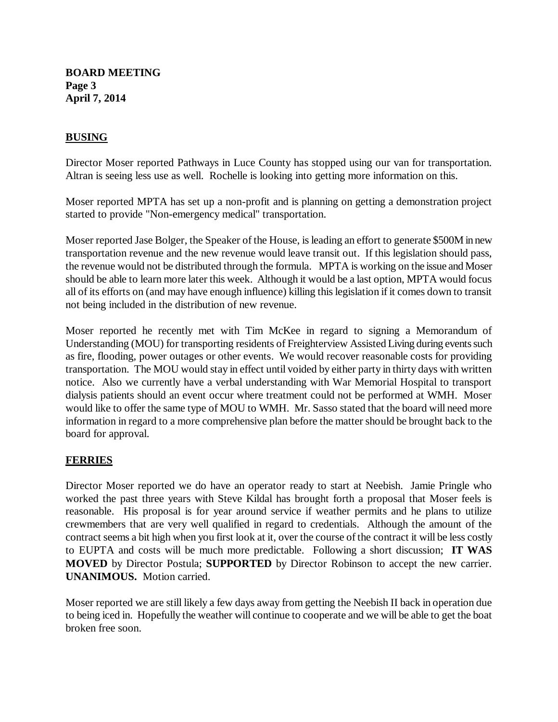## **BUSING**

Director Moser reported Pathways in Luce County has stopped using our van for transportation. Altran is seeing less use as well. Rochelle is looking into getting more information on this.

Moser reported MPTA has set up a non-profit and is planning on getting a demonstration project started to provide "Non-emergency medical" transportation.

Moser reported Jase Bolger, the Speaker of the House, is leading an effort to generate \$500M in new transportation revenue and the new revenue would leave transit out. If this legislation should pass, the revenue would not be distributed through the formula. MPTA is working on the issue and Moser should be able to learn more later this week. Although it would be a last option, MPTA would focus all of its efforts on (and may have enough influence) killing this legislation if it comes down to transit not being included in the distribution of new revenue.

Moser reported he recently met with Tim McKee in regard to signing a Memorandum of Understanding (MOU) for transporting residents of Freighterview Assisted Living during events such as fire, flooding, power outages or other events. We would recover reasonable costs for providing transportation. The MOU would stay in effect until voided by either party in thirty days with written notice. Also we currently have a verbal understanding with War Memorial Hospital to transport dialysis patients should an event occur where treatment could not be performed at WMH. Moser would like to offer the same type of MOU to WMH. Mr. Sasso stated that the board will need more information in regard to a more comprehensive plan before the matter should be brought back to the board for approval.

#### **FERRIES**

Director Moser reported we do have an operator ready to start at Neebish. Jamie Pringle who worked the past three years with Steve Kildal has brought forth a proposal that Moser feels is reasonable. His proposal is for year around service if weather permits and he plans to utilize crewmembers that are very well qualified in regard to credentials. Although the amount of the contract seems a bit high when you first look at it, over the course of the contract it will be less costly to EUPTA and costs will be much more predictable. Following a short discussion; **IT WAS MOVED** by Director Postula; **SUPPORTED** by Director Robinson to accept the new carrier. **UNANIMOUS.** Motion carried.

Moser reported we are still likely a few days away from getting the Neebish II back in operation due to being iced in. Hopefully the weather will continue to cooperate and we will be able to get the boat broken free soon.